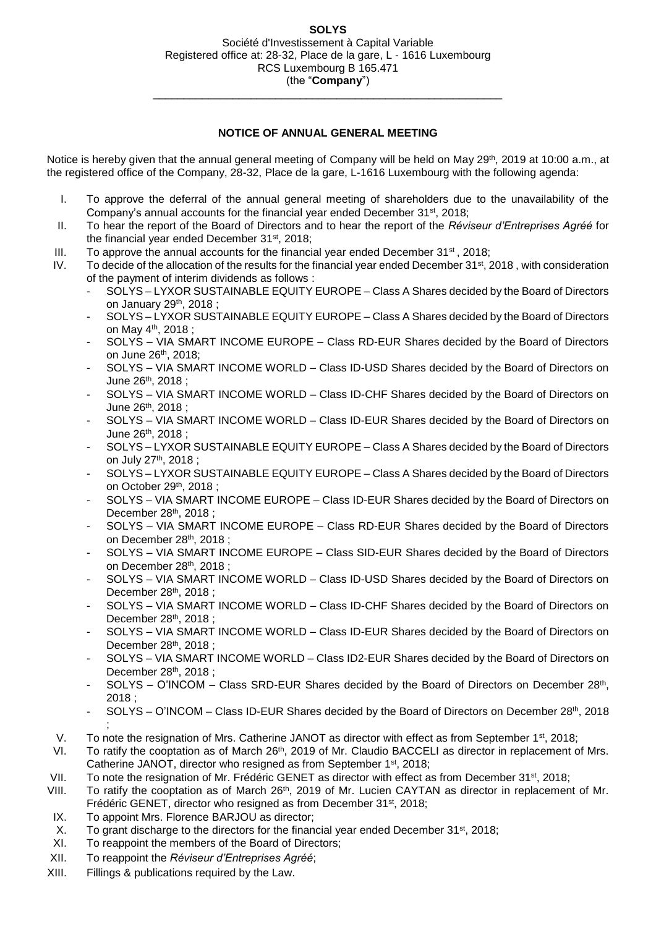\_\_\_\_\_\_\_\_\_\_\_\_\_\_\_\_\_\_\_\_\_\_\_\_\_\_\_\_\_\_\_\_\_\_\_\_\_\_\_\_\_\_\_\_\_\_\_\_\_\_\_\_\_\_\_\_\_

## **NOTICE OF ANNUAL GENERAL MEETING**

Notice is hereby given that the annual general meeting of Company will be held on May 29<sup>th</sup>, 2019 at 10:00 a.m., at the registered office of the Company, 28-32, Place de la gare, L-1616 Luxembourg with the following agenda:

- I. To approve the deferral of the annual general meeting of shareholders due to the unavailability of the Company's annual accounts for the financial year ended December 31<sup>st</sup>, 2018;
- II. To hear the report of the Board of Directors and to hear the report of the *Réviseur d'Entreprises Agréé* for the financial year ended December 31<sup>st</sup>, 2018;
- III. To approve the annual accounts for the financial year ended December  $31<sup>st</sup>$ , 2018;
- IV. To decide of the allocation of the results for the financial year ended December 31<sup>st</sup>, 2018, with consideration of the payment of interim dividends as follows :
	- SOLYS LYXOR SUSTAINABLE EQUITY EUROPE Class A Shares decided by the Board of Directors on January 29th, 2018 ;
	- SOLYS LYXOR SUSTAINABLE EQUITY EUROPE Class A Shares decided by the Board of Directors on May 4th, 2018 ;
	- SOLYS VIA SMART INCOME EUROPE Class RD-EUR Shares decided by the Board of Directors on June 26th, 2018;
	- SOLYS VIA SMART INCOME WORLD Class ID-USD Shares decided by the Board of Directors on June 26th, 2018 ;
	- SOLYS VIA SMART INCOME WORLD Class ID-CHF Shares decided by the Board of Directors on June 26th, 2018 ;
	- SOLYS VIA SMART INCOME WORLD Class ID-EUR Shares decided by the Board of Directors on June 26th, 2018 ;
	- SOLYS LYXOR SUSTAINABLE EQUITY EUROPE Class A Shares decided by the Board of Directors on July 27th, 2018 ;
	- SOLYS LYXOR SUSTAINABLE EQUITY EUROPE Class A Shares decided by the Board of Directors on October 29th, 2018 ;
	- SOLYS VIA SMART INCOME EUROPE Class ID-EUR Shares decided by the Board of Directors on December 28th, 2018 ;
	- SOLYS VIA SMART INCOME EUROPE Class RD-EUR Shares decided by the Board of Directors on December 28th, 2018 ;
	- SOLYS VIA SMART INCOME EUROPE Class SID-EUR Shares decided by the Board of Directors on December 28th, 2018 ;
	- SOLYS VIA SMART INCOME WORLD Class ID-USD Shares decided by the Board of Directors on December 28th, 2018 ;
	- SOLYS VIA SMART INCOME WORLD Class ID-CHF Shares decided by the Board of Directors on December 28<sup>th</sup>, 2018 ;
	- SOLYS VIA SMART INCOME WORLD Class ID-EUR Shares decided by the Board of Directors on December 28<sup>th</sup>, 2018 :
	- SOLYS VIA SMART INCOME WORLD Class ID2-EUR Shares decided by the Board of Directors on December 28<sup>th</sup>, 2018 :
	- SOLYS O'INCOM Class SRD-EUR Shares decided by the Board of Directors on December 28th, 2018 ;
	- SOLYS O'INCOM Class ID-EUR Shares decided by the Board of Directors on December 28<sup>th</sup>, 2018
- ; V. To note the resignation of Mrs. Catherine JANOT as director with effect as from September 1st, 2018;
- VI. To ratify the cooptation as of March 26<sup>th</sup>, 2019 of Mr. Claudio BACCELI as director in replacement of Mrs. Catherine JANOT, director who resigned as from September 1<sup>st</sup>, 2018;
- VII. To note the resignation of Mr. Frédéric GENET as director with effect as from December 31<sup>st</sup>, 2018;
- VIII. To ratify the cooptation as of March 26<sup>th</sup>, 2019 of Mr. Lucien CAYTAN as director in replacement of Mr. Frédéric GENET, director who resigned as from December 31<sup>st</sup>, 2018;
- IX. To appoint Mrs. Florence BARJOU as director;
- X. To grant discharge to the directors for the financial year ended December 31<sup>st</sup>, 2018;
- XI. To reappoint the members of the Board of Directors;
- XII. To reappoint the *Réviseur d'Entreprises Agréé*;
- XIII. Fillings & publications required by the Law.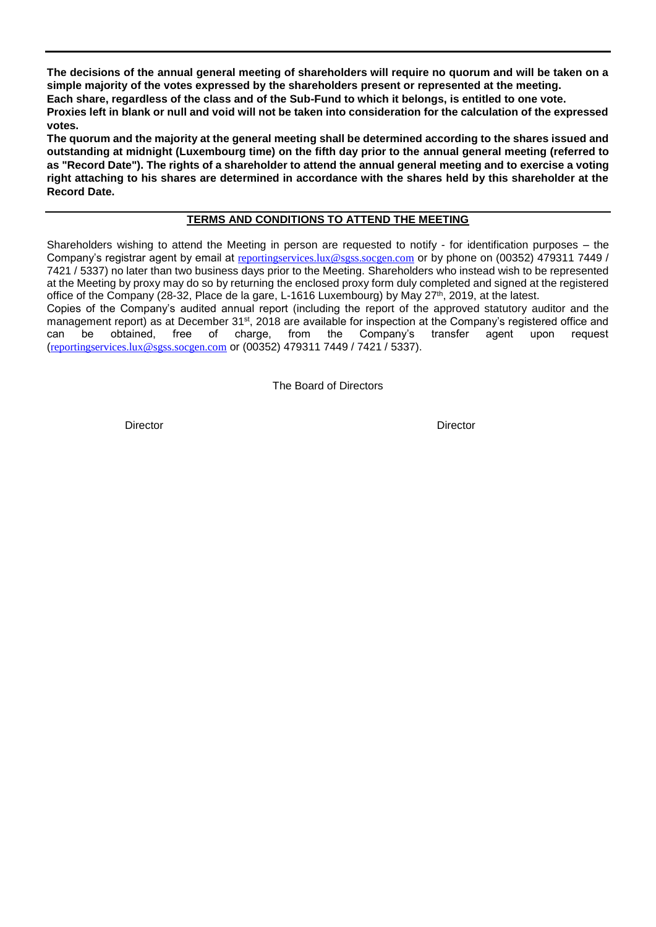**The decisions of the annual general meeting of shareholders will require no quorum and will be taken on a simple majority of the votes expressed by the shareholders present or represented at the meeting. Each share, regardless of the class and of the Sub-Fund to which it belongs, is entitled to one vote. Proxies left in blank or null and void will not be taken into consideration for the calculation of the expressed votes.**

**The quorum and the majority at the general meeting shall be determined according to the shares issued and outstanding at midnight (Luxembourg time) on the fifth day prior to the annual general meeting (referred to as "Record Date"). The rights of a shareholder to attend the annual general meeting and to exercise a voting right attaching to his shares are determined in accordance with the shares held by this shareholder at the Record Date.**

### **TERMS AND CONDITIONS TO ATTEND THE MEETING**

Shareholders wishing to attend the Meeting in person are requested to notify - for identification purposes – the Company's registrar agent by email at [reportingservices.lux@sgss.socgen.com](file://///vm-ad.local/dfs2/Ramsay/ING/S%20I%20C%20A%20V/LYXOR%20Index%20Fund/Assemblées%20Générales/AGO/2016/Convening%20notice/reportingservices.lux@sgss.socgen.com) or by phone on (00352) 479311 7449 / 7421 / 5337) no later than two business days prior to the Meeting. Shareholders who instead wish to be represented at the Meeting by proxy may do so by returning the enclosed proxy form duly completed and signed at the registered office of the Company (28-32, Place de la gare, L-1616 Luxembourg) by May 27<sup>th</sup>, 2019, at the latest.

Copies of the Company's audited annual report (including the report of the approved statutory auditor and the management report) as at December 31<sup>st</sup>, 2018 are available for inspection at the Company's registered office and<br>can be obtained, free of charge, from the Company's transfer agent upon request can be obtained, free of charge, from the Company's transfer agent upon request ([reportingservices.lux@sgss.socgen.com](file://///vm-ad.local/dfs2/Ramsay/ING/S%20I%20C%20A%20V/LYXOR%20Index%20Fund/Assemblées%20Générales/AGO/2016/Convening%20notice/reportingservices.lux@sgss.socgen.com) or (00352) 479311 7449 / 7421 / 5337).

The Board of Directors

Director Director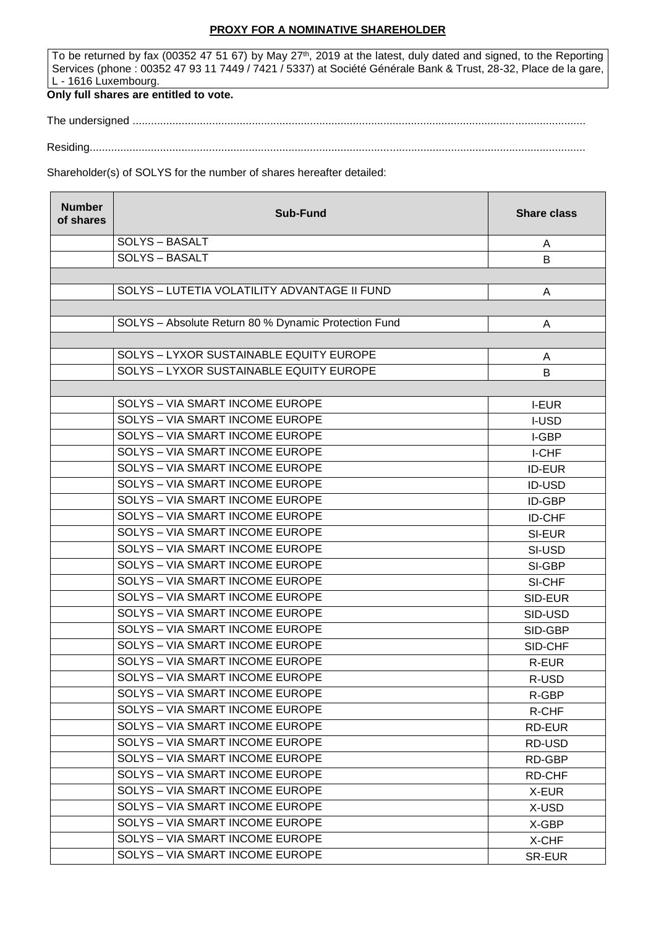### **PROXY FOR A NOMINATIVE SHAREHOLDER**

To be returned by fax (00352 47 51 67) by May 27<sup>th</sup>, 2019 at the latest, duly dated and signed, to the Reporting Services (phone : 00352 47 93 11 7449 / 7421 / 5337) at Société Générale Bank & Trust, 28-32, Place de la gare, L - 1616 Luxembourg.

# **Only full shares are entitled to vote.**

The undersigned ....................................................................................................................................................

Residing..................................................................................................................................................................

#### Shareholder(s) of SOLYS for the number of shares hereafter detailed:

| <b>Number</b><br>of shares | <b>Sub-Fund</b>                                      | <b>Share class</b> |
|----------------------------|------------------------------------------------------|--------------------|
|                            | <b>SOLYS - BASALT</b>                                | A                  |
|                            | <b>SOLYS - BASALT</b>                                | B                  |
|                            |                                                      |                    |
|                            | SOLYS - LUTETIA VOLATILITY ADVANTAGE II FUND         | A                  |
|                            |                                                      |                    |
|                            | SOLYS - Absolute Return 80 % Dynamic Protection Fund | A                  |
|                            |                                                      |                    |
|                            | SOLYS - LYXOR SUSTAINABLE EQUITY EUROPE              | A                  |
|                            | SOLYS - LYXOR SUSTAINABLE EQUITY EUROPE              | B                  |
|                            |                                                      |                    |
|                            | SOLYS - VIA SMART INCOME EUROPE                      | <b>I-EUR</b>       |
|                            | <b>SOLYS - VIA SMART INCOME EUROPE</b>               | <b>I-USD</b>       |
|                            | SOLYS - VIA SMART INCOME EUROPE                      | I-GBP              |
|                            | SOLYS - VIA SMART INCOME EUROPE                      | I-CHF              |
|                            | SOLYS - VIA SMART INCOME EUROPE                      | <b>ID-EUR</b>      |
|                            | SOLYS - VIA SMART INCOME EUROPE                      | <b>ID-USD</b>      |
|                            | <b>SOLYS - VIA SMART INCOME EUROPE</b>               | ID-GBP             |
|                            | SOLYS - VIA SMART INCOME EUROPE                      | <b>ID-CHF</b>      |
|                            | SOLYS - VIA SMART INCOME EUROPE                      | SI-EUR             |
|                            | SOLYS - VIA SMART INCOME EUROPE                      | SI-USD             |
|                            | <b>SOLYS - VIA SMART INCOME EUROPE</b>               | SI-GBP             |
|                            | SOLYS - VIA SMART INCOME EUROPE                      | SI-CHF             |
|                            | SOLYS - VIA SMART INCOME EUROPE                      | SID-EUR            |
|                            | SOLYS - VIA SMART INCOME EUROPE                      | SID-USD            |
|                            | SOLYS - VIA SMART INCOME EUROPE                      | SID-GBP            |
|                            | SOLYS - VIA SMART INCOME EUROPE                      | SID-CHF            |
|                            | SOLYS - VIA SMART INCOME EUROPE                      | R-EUR              |
|                            | SOLYS - VIA SMART INCOME EUROPE                      | R-USD              |
|                            | SOLYS - VIA SMART INCOME EUROPE                      | R-GBP              |
|                            | <b>SOLYS - VIA SMART INCOME EUROPE</b>               | R-CHF              |
|                            | SOLYS - VIA SMART INCOME EUROPE                      | RD-EUR             |
|                            | SOLYS - VIA SMART INCOME EUROPE                      | RD-USD             |
|                            | SOLYS - VIA SMART INCOME EUROPE                      | RD-GBP             |
|                            | SOLYS - VIA SMART INCOME EUROPE                      | RD-CHF             |
|                            | SOLYS - VIA SMART INCOME EUROPE                      | X-EUR              |
|                            | SOLYS - VIA SMART INCOME EUROPE                      | X-USD              |
|                            | SOLYS - VIA SMART INCOME EUROPE                      | X-GBP              |
|                            | SOLYS - VIA SMART INCOME EUROPE                      | X-CHF              |
|                            | SOLYS - VIA SMART INCOME EUROPE                      | SR-EUR             |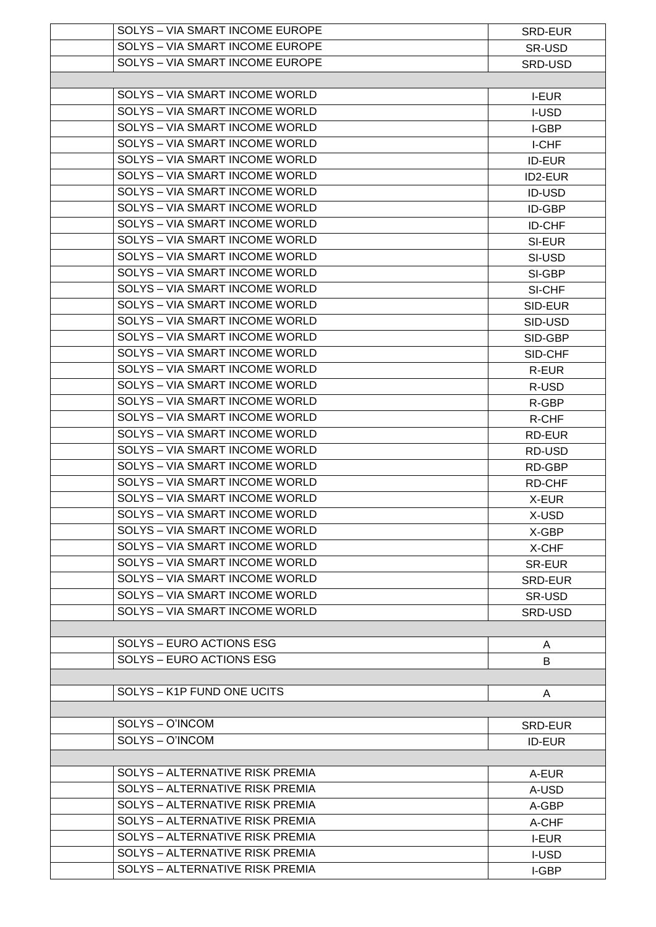| SOLYS - VIA SMART INCOME EUROPE        | SRD-EUR       |
|----------------------------------------|---------------|
| SOLYS - VIA SMART INCOME EUROPE        | SR-USD        |
| SOLYS - VIA SMART INCOME EUROPE        | SRD-USD       |
|                                        |               |
| <b>SOLYS - VIA SMART INCOME WORLD</b>  |               |
|                                        | <b>I-EUR</b>  |
| SOLYS - VIA SMART INCOME WORLD         | <b>I-USD</b>  |
| SOLYS - VIA SMART INCOME WORLD         | I-GBP         |
| SOLYS - VIA SMART INCOME WORLD         | I-CHF         |
| <b>SOLYS - VIA SMART INCOME WORLD</b>  | <b>ID-EUR</b> |
| SOLYS - VIA SMART INCOME WORLD         | ID2-EUR       |
| SOLYS - VIA SMART INCOME WORLD         | <b>ID-USD</b> |
| SOLYS - VIA SMART INCOME WORLD         | ID-GBP        |
| SOLYS - VIA SMART INCOME WORLD         | <b>ID-CHF</b> |
| SOLYS - VIA SMART INCOME WORLD         | SI-EUR        |
| <b>SOLYS - VIA SMART INCOME WORLD</b>  | SI-USD        |
| SOLYS - VIA SMART INCOME WORLD         | SI-GBP        |
| SOLYS - VIA SMART INCOME WORLD         | SI-CHF        |
| <b>SOLYS - VIA SMART INCOME WORLD</b>  |               |
|                                        | SID-EUR       |
| <b>SOLYS - VIA SMART INCOME WORLD</b>  | SID-USD       |
| SOLYS - VIA SMART INCOME WORLD         | SID-GBP       |
| SOLYS - VIA SMART INCOME WORLD         | SID-CHF       |
| SOLYS - VIA SMART INCOME WORLD         | R-EUR         |
| SOLYS - VIA SMART INCOME WORLD         | R-USD         |
| SOLYS - VIA SMART INCOME WORLD         | R-GBP         |
| SOLYS - VIA SMART INCOME WORLD         | R-CHF         |
| SOLYS - VIA SMART INCOME WORLD         | RD-EUR        |
| <b>SOLYS - VIA SMART INCOME WORLD</b>  | RD-USD        |
| <b>SOLYS - VIA SMART INCOME WORLD</b>  | RD-GBP        |
| SOLYS - VIA SMART INCOME WORLD         | RD-CHF        |
| SOLYS - VIA SMART INCOME WORLD         | X-EUR         |
| SOLYS - VIA SMART INCOME WORLD         | X-USD         |
| SOLYS - VIA SMART INCOME WORLD         | X-GBP         |
| SOLYS - VIA SMART INCOME WORLD         | X-CHF         |
| SOLYS - VIA SMART INCOME WORLD         | <b>SR-EUR</b> |
| SOLYS - VIA SMART INCOME WORLD         | SRD-EUR       |
| <b>SOLYS - VIA SMART INCOME WORLD</b>  | SR-USD        |
| SOLYS - VIA SMART INCOME WORLD         |               |
|                                        | SRD-USD       |
| SOLYS - EURO ACTIONS ESG               |               |
|                                        | A             |
| SOLYS - EURO ACTIONS ESG               | B             |
|                                        |               |
| SOLYS - K1P FUND ONE UCITS             | A             |
|                                        |               |
| SOLYS - O'INCOM                        | SRD-EUR       |
| SOLYS - O'INCOM                        | <b>ID-EUR</b> |
|                                        |               |
| SOLYS - ALTERNATIVE RISK PREMIA        | A-EUR         |
| SOLYS - ALTERNATIVE RISK PREMIA        | A-USD         |
| SOLYS - ALTERNATIVE RISK PREMIA        | A-GBP         |
| <b>SOLYS - ALTERNATIVE RISK PREMIA</b> | A-CHF         |
| SOLYS - ALTERNATIVE RISK PREMIA        | <b>I-EUR</b>  |
| <b>SOLYS - ALTERNATIVE RISK PREMIA</b> | I-USD         |
| SOLYS - ALTERNATIVE RISK PREMIA        | I-GBP         |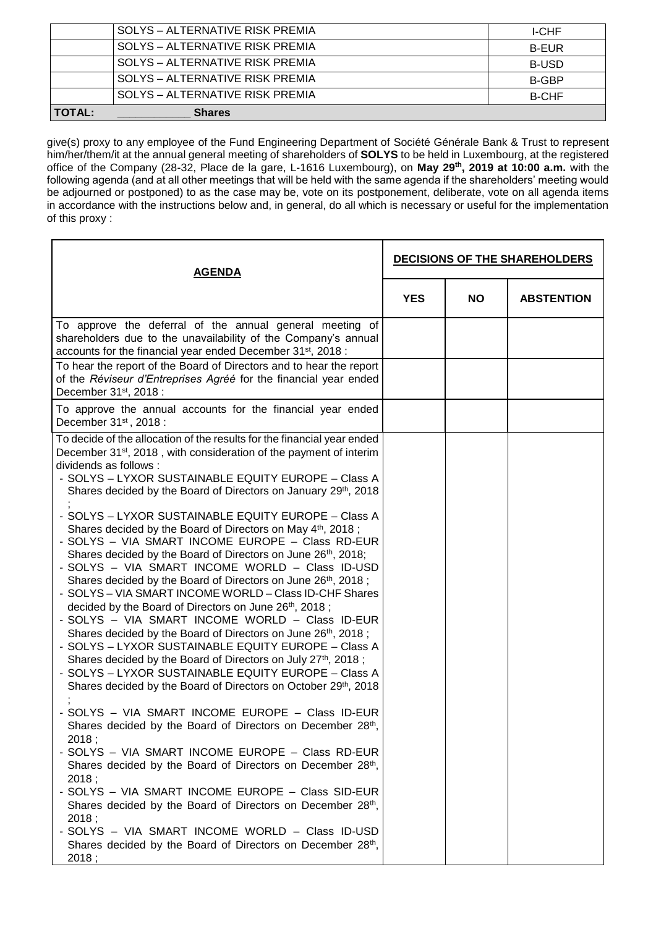|               | SOLYS – ALTERNATIVE RISK PREMIA | <b>I-CHF</b> |
|---------------|---------------------------------|--------------|
|               | SOLYS - ALTERNATIVE RISK PREMIA | <b>B-EUR</b> |
|               | SOLYS - ALTERNATIVE RISK PREMIA | <b>B-USD</b> |
|               | SOLYS - ALTERNATIVE RISK PREMIA | B-GBP        |
|               | SOLYS – ALTERNATIVE RISK PREMIA | <b>B-CHF</b> |
| <b>TOTAL:</b> | <b>Shares</b>                   |              |

give(s) proxy to any employee of the Fund Engineering Department of Société Générale Bank & Trust to represent him/her/them/it at the annual general meeting of shareholders of **SOLYS** to be held in Luxembourg, at the registered office of the Company (28-32, Place de la gare, L-1616 Luxembourg), on **May 29th, 2019 at 10:00 a.m.** with the following agenda (and at all other meetings that will be held with the same agenda if the shareholders' meeting would be adjourned or postponed) to as the case may be, vote on its postponement, deliberate, vote on all agenda items in accordance with the instructions below and, in general, do all which is necessary or useful for the implementation of this proxy :

| <b>AGENDA</b>                                                                                                                                                                                                                                                                                                                                                                                                                                                                                                                                                                                                                                                                                                                                                                                                                                                                                                                                                                                                                                                                                                                                                                                                                                                                                                                                                                                                                                                                                                                           | <b>DECISIONS OF THE SHAREHOLDERS</b> |           |                   |
|-----------------------------------------------------------------------------------------------------------------------------------------------------------------------------------------------------------------------------------------------------------------------------------------------------------------------------------------------------------------------------------------------------------------------------------------------------------------------------------------------------------------------------------------------------------------------------------------------------------------------------------------------------------------------------------------------------------------------------------------------------------------------------------------------------------------------------------------------------------------------------------------------------------------------------------------------------------------------------------------------------------------------------------------------------------------------------------------------------------------------------------------------------------------------------------------------------------------------------------------------------------------------------------------------------------------------------------------------------------------------------------------------------------------------------------------------------------------------------------------------------------------------------------------|--------------------------------------|-----------|-------------------|
|                                                                                                                                                                                                                                                                                                                                                                                                                                                                                                                                                                                                                                                                                                                                                                                                                                                                                                                                                                                                                                                                                                                                                                                                                                                                                                                                                                                                                                                                                                                                         | <b>YES</b>                           | <b>NO</b> | <b>ABSTENTION</b> |
| To approve the deferral of the annual general meeting of<br>shareholders due to the unavailability of the Company's annual<br>accounts for the financial year ended December 31 <sup>st</sup> , 2018 :                                                                                                                                                                                                                                                                                                                                                                                                                                                                                                                                                                                                                                                                                                                                                                                                                                                                                                                                                                                                                                                                                                                                                                                                                                                                                                                                  |                                      |           |                   |
| To hear the report of the Board of Directors and to hear the report<br>of the Réviseur d'Entreprises Agréé for the financial year ended<br>December 31 <sup>st</sup> , 2018 :                                                                                                                                                                                                                                                                                                                                                                                                                                                                                                                                                                                                                                                                                                                                                                                                                                                                                                                                                                                                                                                                                                                                                                                                                                                                                                                                                           |                                      |           |                   |
| To approve the annual accounts for the financial year ended<br>December 31 <sup>st</sup> , 2018:                                                                                                                                                                                                                                                                                                                                                                                                                                                                                                                                                                                                                                                                                                                                                                                                                                                                                                                                                                                                                                                                                                                                                                                                                                                                                                                                                                                                                                        |                                      |           |                   |
| To decide of the allocation of the results for the financial year ended<br>December 31 <sup>st</sup> , 2018, with consideration of the payment of interim<br>dividends as follows :<br>- SOLYS - LYXOR SUSTAINABLE EQUITY EUROPE - Class A<br>Shares decided by the Board of Directors on January 29th, 2018<br>- SOLYS - LYXOR SUSTAINABLE EQUITY EUROPE - Class A<br>Shares decided by the Board of Directors on May 4th, 2018;<br>- SOLYS - VIA SMART INCOME EUROPE - Class RD-EUR<br>Shares decided by the Board of Directors on June 26th, 2018;<br>- SOLYS - VIA SMART INCOME WORLD - Class ID-USD<br>Shares decided by the Board of Directors on June 26th, 2018;<br>- SOLYS - VIA SMART INCOME WORLD - Class ID-CHF Shares<br>decided by the Board of Directors on June 26th, 2018;<br>- SOLYS - VIA SMART INCOME WORLD - Class ID-EUR<br>Shares decided by the Board of Directors on June 26th, 2018;<br>- SOLYS - LYXOR SUSTAINABLE EQUITY EUROPE - Class A<br>Shares decided by the Board of Directors on July 27th, 2018;<br>- SOLYS - LYXOR SUSTAINABLE EQUITY EUROPE - Class A<br>Shares decided by the Board of Directors on October 29th, 2018<br>- SOLYS - VIA SMART INCOME EUROPE - Class ID-EUR<br>Shares decided by the Board of Directors on December 28th,<br>2018;<br>- SOLYS - VIA SMART INCOME EUROPE - Class RD-EUR<br>Shares decided by the Board of Directors on December 28th,<br>2018:<br>- SOLYS - VIA SMART INCOME EUROPE - Class SID-EUR<br>Shares decided by the Board of Directors on December 28th, |                                      |           |                   |
| 2018;<br>- SOLYS - VIA SMART INCOME WORLD - Class ID-USD<br>Shares decided by the Board of Directors on December 28th,<br>2018;                                                                                                                                                                                                                                                                                                                                                                                                                                                                                                                                                                                                                                                                                                                                                                                                                                                                                                                                                                                                                                                                                                                                                                                                                                                                                                                                                                                                         |                                      |           |                   |